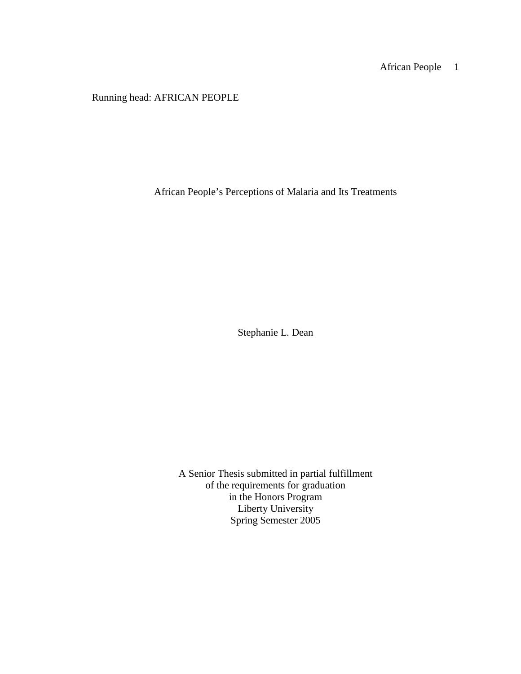Running head: AFRICAN PEOPLE

African People's Perceptions of Malaria and Its Treatments

Stephanie L. Dean

A Senior Thesis submitted in partial fulfillment of the requirements for graduation in the Honors Program Liberty University Spring Semester 2005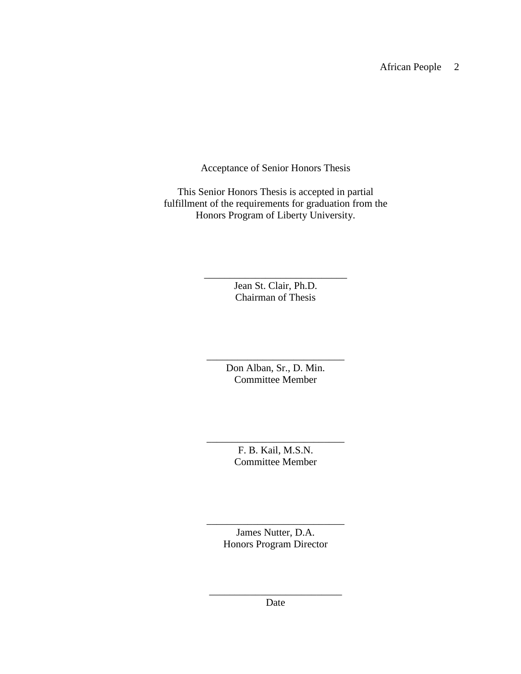Acceptance of Senior Honors Thesis

This Senior Honors Thesis is accepted in partial fulfillment of the requirements for graduation from the Honors Program of Liberty University.

> Jean St. Clair, Ph.D. Chairman of Thesis

\_\_\_\_\_\_\_\_\_\_\_\_\_\_\_\_\_\_\_\_\_\_\_\_\_\_\_\_

Don Alban, Sr., D. Min. Committee Member

\_\_\_\_\_\_\_\_\_\_\_\_\_\_\_\_\_\_\_\_\_\_\_\_\_\_\_

\_\_\_\_\_\_\_\_\_\_\_\_\_\_\_\_\_\_\_\_\_\_\_\_\_\_\_ F. B. Kail, M.S.N. Committee Member

> James Nutter, D.A. Honors Program Director

\_\_\_\_\_\_\_\_\_\_\_\_\_\_\_\_\_\_\_\_\_\_\_\_\_\_\_

\_\_\_\_\_\_\_\_\_\_\_\_\_\_\_\_\_\_\_\_\_\_\_\_\_\_ Date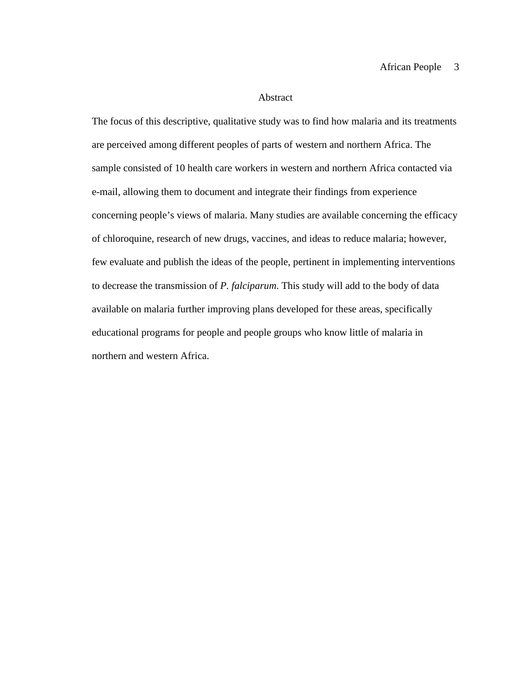#### Abstract

The focus of this descriptive, qualitative study was to find how malaria and its treatments are perceived among different peoples of parts of western and northern Africa. The sample consisted of 10 health care workers in western and northern Africa contacted via e-mail, allowing them to document and integrate their findings from experience concerning people's views of malaria. Many studies are available concerning the efficacy of chloroquine, research of new drugs, vaccines, and ideas to reduce malaria; however, few evaluate and publish the ideas of the people, pertinent in implementing interventions to decrease the transmission of *P. falciparum*. This study will add to the body of data available on malaria further improving plans developed for these areas, specifically educational programs for people and people groups who know little of malaria in northern and western Africa.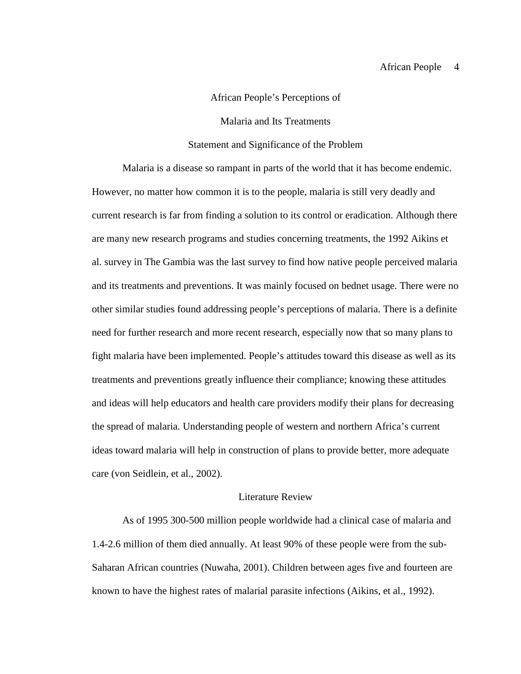### African People's Perceptions of

### Malaria and Its Treatments

# Statement and Significance of the Problem

Malaria is a disease so rampant in parts of the world that it has become endemic. However, no matter how common it is to the people, malaria is still very deadly and current research is far from finding a solution to its control or eradication. Although there are many new research programs and studies concerning treatments, the 1992 Aikins et al. survey in The Gambia was the last survey to find how native people perceived malaria and its treatments and preventions. It was mainly focused on bednet usage. There were no other similar studies found addressing people's perceptions of malaria. There is a definite need for further research and more recent research, especially now that so many plans to fight malaria have been implemented. People's attitudes toward this disease as well as its treatments and preventions greatly influence their compliance; knowing these attitudes and ideas will help educators and health care providers modify their plans for decreasing the spread of malaria. Understanding people of western and northern Africa's current ideas toward malaria will help in construction of plans to provide better, more adequate care (von Seidlein, et al., 2002).

# Literature Review

As of 1995 300-500 million people worldwide had a clinical case of malaria and 1.4-2.6 million of them died annually. At least 90% of these people were from the sub-Saharan African countries (Nuwaha, 2001). Children between ages five and fourteen are known to have the highest rates of malarial parasite infections (Aikins, et al., 1992).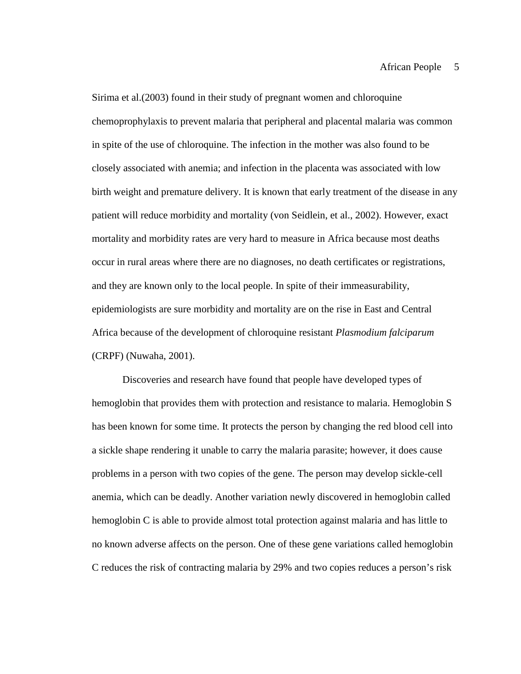Sirima et al.(2003) found in their study of pregnant women and chloroquine chemoprophylaxis to prevent malaria that peripheral and placental malaria was common in spite of the use of chloroquine. The infection in the mother was also found to be closely associated with anemia; and infection in the placenta was associated with low birth weight and premature delivery. It is known that early treatment of the disease in any patient will reduce morbidity and mortality (von Seidlein, et al., 2002). However, exact mortality and morbidity rates are very hard to measure in Africa because most deaths occur in rural areas where there are no diagnoses, no death certificates or registrations, and they are known only to the local people. In spite of their immeasurability, epidemiologists are sure morbidity and mortality are on the rise in East and Central Africa because of the development of chloroquine resistant *Plasmodium falciparum*  (CRPF) (Nuwaha, 2001).

Discoveries and research have found that people have developed types of hemoglobin that provides them with protection and resistance to malaria. Hemoglobin S has been known for some time. It protects the person by changing the red blood cell into a sickle shape rendering it unable to carry the malaria parasite; however, it does cause problems in a person with two copies of the gene. The person may develop sickle-cell anemia, which can be deadly. Another variation newly discovered in hemoglobin called hemoglobin C is able to provide almost total protection against malaria and has little to no known adverse affects on the person. One of these gene variations called hemoglobin C reduces the risk of contracting malaria by 29% and two copies reduces a person's risk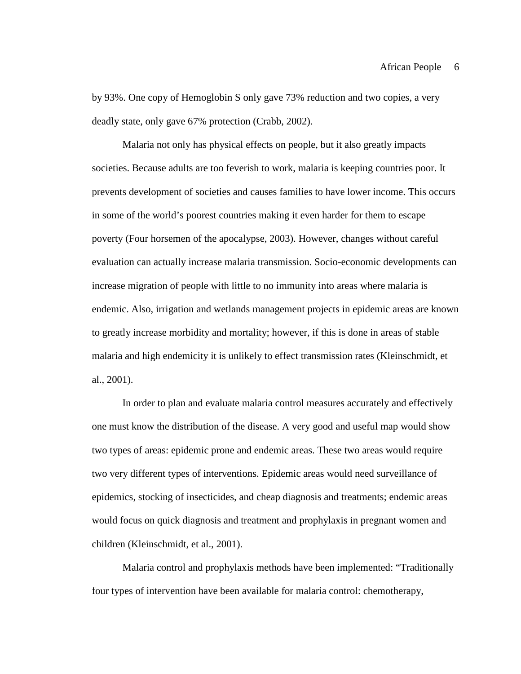by 93%. One copy of Hemoglobin S only gave 73% reduction and two copies, a very deadly state, only gave 67% protection (Crabb, 2002).

Malaria not only has physical effects on people, but it also greatly impacts societies. Because adults are too feverish to work, malaria is keeping countries poor. It prevents development of societies and causes families to have lower income. This occurs in some of the world's poorest countries making it even harder for them to escape poverty (Four horsemen of the apocalypse, 2003). However, changes without careful evaluation can actually increase malaria transmission. Socio-economic developments can increase migration of people with little to no immunity into areas where malaria is endemic. Also, irrigation and wetlands management projects in epidemic areas are known to greatly increase morbidity and mortality; however, if this is done in areas of stable malaria and high endemicity it is unlikely to effect transmission rates (Kleinschmidt, et al., 2001).

In order to plan and evaluate malaria control measures accurately and effectively one must know the distribution of the disease. A very good and useful map would show two types of areas: epidemic prone and endemic areas. These two areas would require two very different types of interventions. Epidemic areas would need surveillance of epidemics, stocking of insecticides, and cheap diagnosis and treatments; endemic areas would focus on quick diagnosis and treatment and prophylaxis in pregnant women and children (Kleinschmidt, et al., 2001).

Malaria control and prophylaxis methods have been implemented: "Traditionally four types of intervention have been available for malaria control: chemotherapy,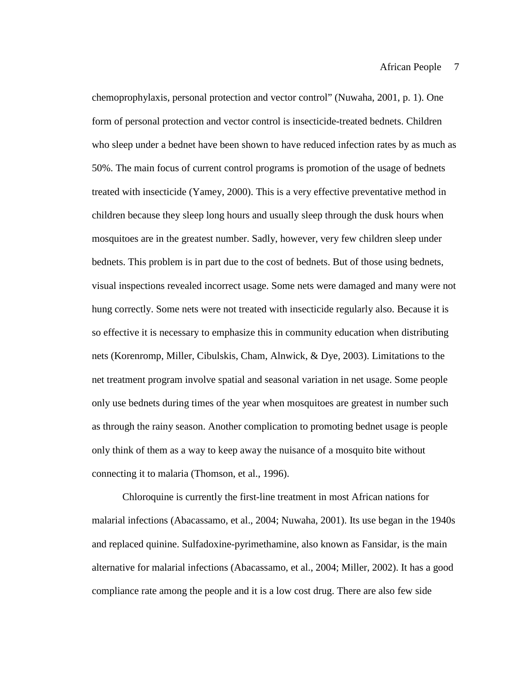chemoprophylaxis, personal protection and vector control" (Nuwaha, 2001, p. 1). One form of personal protection and vector control is insecticide-treated bednets. Children who sleep under a bednet have been shown to have reduced infection rates by as much as 50%. The main focus of current control programs is promotion of the usage of bednets treated with insecticide (Yamey, 2000). This is a very effective preventative method in children because they sleep long hours and usually sleep through the dusk hours when mosquitoes are in the greatest number. Sadly, however, very few children sleep under bednets. This problem is in part due to the cost of bednets. But of those using bednets, visual inspections revealed incorrect usage. Some nets were damaged and many were not hung correctly. Some nets were not treated with insecticide regularly also. Because it is so effective it is necessary to emphasize this in community education when distributing nets (Korenromp, Miller, Cibulskis, Cham, Alnwick, & Dye, 2003). Limitations to the net treatment program involve spatial and seasonal variation in net usage. Some people only use bednets during times of the year when mosquitoes are greatest in number such as through the rainy season. Another complication to promoting bednet usage is people only think of them as a way to keep away the nuisance of a mosquito bite without connecting it to malaria (Thomson, et al., 1996).

Chloroquine is currently the first-line treatment in most African nations for malarial infections (Abacassamo, et al., 2004; Nuwaha, 2001). Its use began in the 1940s and replaced quinine. Sulfadoxine-pyrimethamine, also known as Fansidar, is the main alternative for malarial infections (Abacassamo, et al., 2004; Miller, 2002). It has a good compliance rate among the people and it is a low cost drug. There are also few side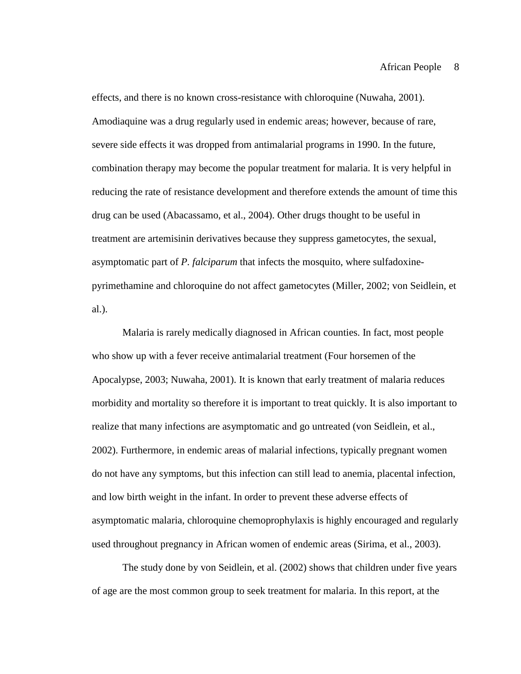effects, and there is no known cross-resistance with chloroquine (Nuwaha, 2001). Amodiaquine was a drug regularly used in endemic areas; however, because of rare, severe side effects it was dropped from antimalarial programs in 1990. In the future, combination therapy may become the popular treatment for malaria. It is very helpful in reducing the rate of resistance development and therefore extends the amount of time this drug can be used (Abacassamo, et al., 2004). Other drugs thought to be useful in treatment are artemisinin derivatives because they suppress gametocytes, the sexual, asymptomatic part of *P. falciparum* that infects the mosquito, where sulfadoxinepyrimethamine and chloroquine do not affect gametocytes (Miller, 2002; von Seidlein, et al.).

Malaria is rarely medically diagnosed in African counties. In fact, most people who show up with a fever receive antimalarial treatment (Four horsemen of the Apocalypse, 2003; Nuwaha, 2001). It is known that early treatment of malaria reduces morbidity and mortality so therefore it is important to treat quickly. It is also important to realize that many infections are asymptomatic and go untreated (von Seidlein, et al., 2002). Furthermore, in endemic areas of malarial infections, typically pregnant women do not have any symptoms, but this infection can still lead to anemia, placental infection, and low birth weight in the infant. In order to prevent these adverse effects of asymptomatic malaria, chloroquine chemoprophylaxis is highly encouraged and regularly used throughout pregnancy in African women of endemic areas (Sirima, et al., 2003).

The study done by von Seidlein, et al. (2002) shows that children under five years of age are the most common group to seek treatment for malaria. In this report, at the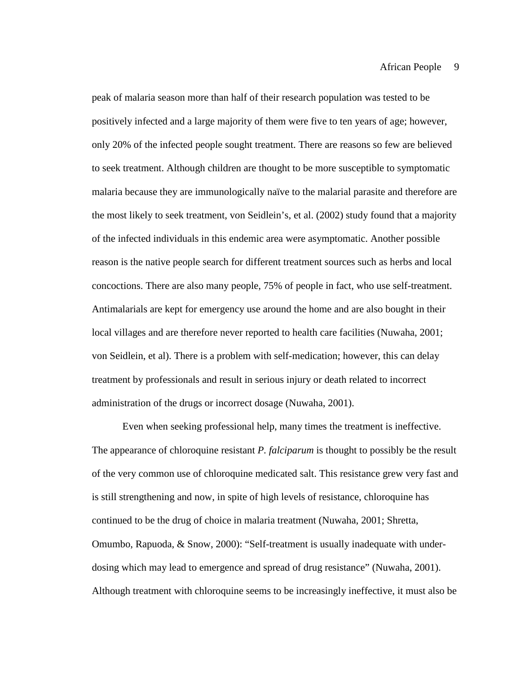peak of malaria season more than half of their research population was tested to be positively infected and a large majority of them were five to ten years of age; however, only 20% of the infected people sought treatment. There are reasons so few are believed to seek treatment. Although children are thought to be more susceptible to symptomatic malaria because they are immunologically naïve to the malarial parasite and therefore are the most likely to seek treatment, von Seidlein's, et al. (2002) study found that a majority of the infected individuals in this endemic area were asymptomatic. Another possible reason is the native people search for different treatment sources such as herbs and local concoctions. There are also many people, 75% of people in fact, who use self-treatment. Antimalarials are kept for emergency use around the home and are also bought in their local villages and are therefore never reported to health care facilities (Nuwaha, 2001; von Seidlein, et al). There is a problem with self-medication; however, this can delay treatment by professionals and result in serious injury or death related to incorrect administration of the drugs or incorrect dosage (Nuwaha, 2001).

Even when seeking professional help, many times the treatment is ineffective. The appearance of chloroquine resistant *P. falciparum* is thought to possibly be the result of the very common use of chloroquine medicated salt. This resistance grew very fast and is still strengthening and now, in spite of high levels of resistance, chloroquine has continued to be the drug of choice in malaria treatment (Nuwaha, 2001; Shretta, Omumbo, Rapuoda, & Snow, 2000): "Self-treatment is usually inadequate with underdosing which may lead to emergence and spread of drug resistance" (Nuwaha, 2001). Although treatment with chloroquine seems to be increasingly ineffective, it must also be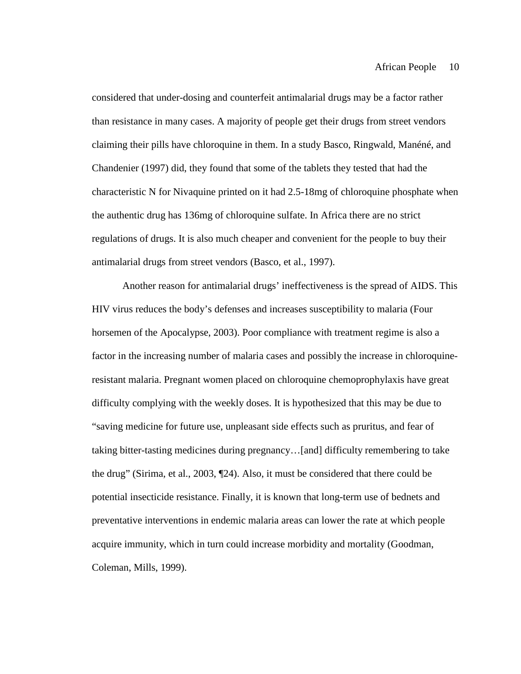considered that under-dosing and counterfeit antimalarial drugs may be a factor rather than resistance in many cases. A majority of people get their drugs from street vendors claiming their pills have chloroquine in them. In a study Basco, Ringwald, Manéné, and Chandenier (1997) did, they found that some of the tablets they tested that had the characteristic N for Nivaquine printed on it had 2.5-18mg of chloroquine phosphate when the authentic drug has 136mg of chloroquine sulfate. In Africa there are no strict regulations of drugs. It is also much cheaper and convenient for the people to buy their antimalarial drugs from street vendors (Basco, et al., 1997).

Another reason for antimalarial drugs' ineffectiveness is the spread of AIDS. This HIV virus reduces the body's defenses and increases susceptibility to malaria (Four horsemen of the Apocalypse, 2003). Poor compliance with treatment regime is also a factor in the increasing number of malaria cases and possibly the increase in chloroquineresistant malaria. Pregnant women placed on chloroquine chemoprophylaxis have great difficulty complying with the weekly doses. It is hypothesized that this may be due to "saving medicine for future use, unpleasant side effects such as pruritus, and fear of taking bitter-tasting medicines during pregnancy…[and] difficulty remembering to take the drug" (Sirima, et al., 2003, ¶24). Also, it must be considered that there could be potential insecticide resistance. Finally, it is known that long-term use of bednets and preventative interventions in endemic malaria areas can lower the rate at which people acquire immunity, which in turn could increase morbidity and mortality (Goodman, Coleman, Mills, 1999).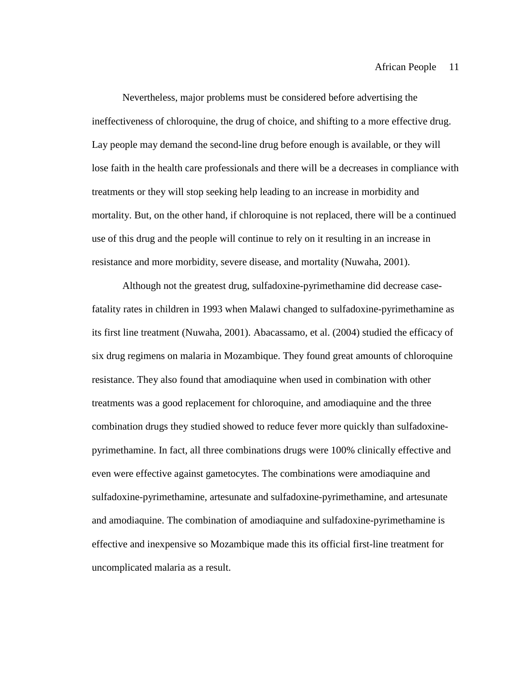Nevertheless, major problems must be considered before advertising the ineffectiveness of chloroquine, the drug of choice, and shifting to a more effective drug. Lay people may demand the second-line drug before enough is available, or they will lose faith in the health care professionals and there will be a decreases in compliance with treatments or they will stop seeking help leading to an increase in morbidity and mortality. But, on the other hand, if chloroquine is not replaced, there will be a continued use of this drug and the people will continue to rely on it resulting in an increase in resistance and more morbidity, severe disease, and mortality (Nuwaha, 2001).

Although not the greatest drug, sulfadoxine-pyrimethamine did decrease casefatality rates in children in 1993 when Malawi changed to sulfadoxine-pyrimethamine as its first line treatment (Nuwaha, 2001). Abacassamo, et al. (2004) studied the efficacy of six drug regimens on malaria in Mozambique. They found great amounts of chloroquine resistance. They also found that amodiaquine when used in combination with other treatments was a good replacement for chloroquine, and amodiaquine and the three combination drugs they studied showed to reduce fever more quickly than sulfadoxinepyrimethamine. In fact, all three combinations drugs were 100% clinically effective and even were effective against gametocytes. The combinations were amodiaquine and sulfadoxine-pyrimethamine, artesunate and sulfadoxine-pyrimethamine, and artesunate and amodiaquine. The combination of amodiaquine and sulfadoxine-pyrimethamine is effective and inexpensive so Mozambique made this its official first-line treatment for uncomplicated malaria as a result.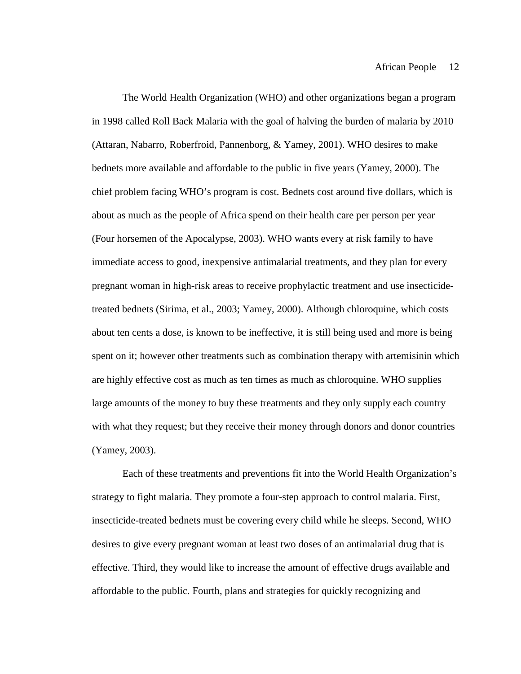The World Health Organization (WHO) and other organizations began a program in 1998 called Roll Back Malaria with the goal of halving the burden of malaria by 2010 (Attaran, Nabarro, Roberfroid, Pannenborg, & Yamey, 2001). WHO desires to make bednets more available and affordable to the public in five years (Yamey, 2000). The chief problem facing WHO's program is cost. Bednets cost around five dollars, which is about as much as the people of Africa spend on their health care per person per year (Four horsemen of the Apocalypse, 2003). WHO wants every at risk family to have immediate access to good, inexpensive antimalarial treatments, and they plan for every pregnant woman in high-risk areas to receive prophylactic treatment and use insecticidetreated bednets (Sirima, et al., 2003; Yamey, 2000). Although chloroquine, which costs about ten cents a dose, is known to be ineffective, it is still being used and more is being spent on it; however other treatments such as combination therapy with artemisinin which are highly effective cost as much as ten times as much as chloroquine. WHO supplies large amounts of the money to buy these treatments and they only supply each country with what they request; but they receive their money through donors and donor countries (Yamey, 2003).

Each of these treatments and preventions fit into the World Health Organization's strategy to fight malaria. They promote a four-step approach to control malaria. First, insecticide-treated bednets must be covering every child while he sleeps. Second, WHO desires to give every pregnant woman at least two doses of an antimalarial drug that is effective. Third, they would like to increase the amount of effective drugs available and affordable to the public. Fourth, plans and strategies for quickly recognizing and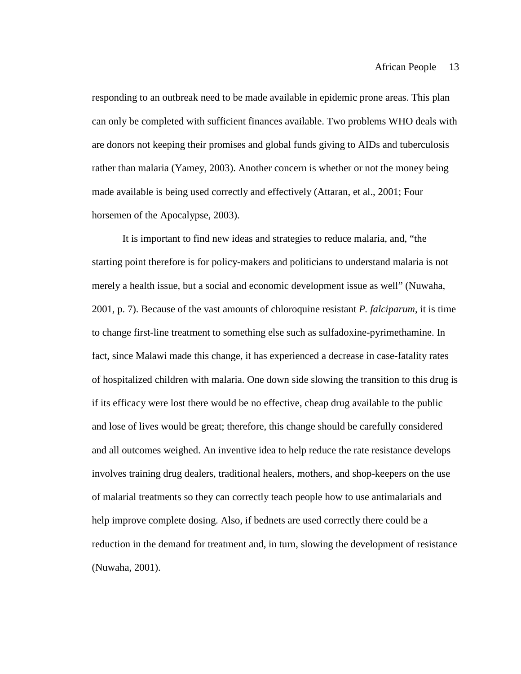responding to an outbreak need to be made available in epidemic prone areas. This plan can only be completed with sufficient finances available. Two problems WHO deals with are donors not keeping their promises and global funds giving to AIDs and tuberculosis rather than malaria (Yamey, 2003). Another concern is whether or not the money being made available is being used correctly and effectively (Attaran, et al., 2001; Four horsemen of the Apocalypse, 2003).

It is important to find new ideas and strategies to reduce malaria, and, "the starting point therefore is for policy-makers and politicians to understand malaria is not merely a health issue, but a social and economic development issue as well" (Nuwaha, 2001, p. 7). Because of the vast amounts of chloroquine resistant *P. falciparum*, it is time to change first-line treatment to something else such as sulfadoxine-pyrimethamine. In fact, since Malawi made this change, it has experienced a decrease in case-fatality rates of hospitalized children with malaria. One down side slowing the transition to this drug is if its efficacy were lost there would be no effective, cheap drug available to the public and lose of lives would be great; therefore, this change should be carefully considered and all outcomes weighed. An inventive idea to help reduce the rate resistance develops involves training drug dealers, traditional healers, mothers, and shop-keepers on the use of malarial treatments so they can correctly teach people how to use antimalarials and help improve complete dosing. Also, if bednets are used correctly there could be a reduction in the demand for treatment and, in turn, slowing the development of resistance (Nuwaha, 2001).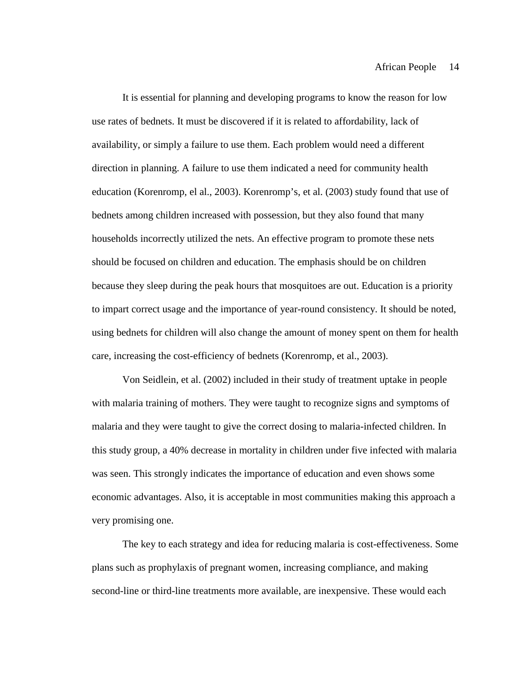It is essential for planning and developing programs to know the reason for low use rates of bednets. It must be discovered if it is related to affordability, lack of availability, or simply a failure to use them. Each problem would need a different direction in planning. A failure to use them indicated a need for community health education (Korenromp, el al., 2003). Korenromp's, et al. (2003) study found that use of bednets among children increased with possession, but they also found that many households incorrectly utilized the nets. An effective program to promote these nets should be focused on children and education. The emphasis should be on children because they sleep during the peak hours that mosquitoes are out. Education is a priority to impart correct usage and the importance of year-round consistency. It should be noted, using bednets for children will also change the amount of money spent on them for health care, increasing the cost-efficiency of bednets (Korenromp, et al., 2003).

Von Seidlein, et al. (2002) included in their study of treatment uptake in people with malaria training of mothers. They were taught to recognize signs and symptoms of malaria and they were taught to give the correct dosing to malaria-infected children. In this study group, a 40% decrease in mortality in children under five infected with malaria was seen. This strongly indicates the importance of education and even shows some economic advantages. Also, it is acceptable in most communities making this approach a very promising one.

The key to each strategy and idea for reducing malaria is cost-effectiveness. Some plans such as prophylaxis of pregnant women, increasing compliance, and making second-line or third-line treatments more available, are inexpensive. These would each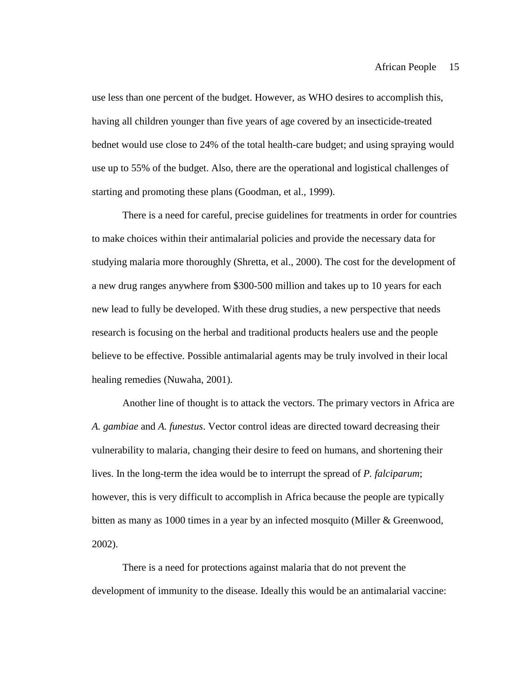use less than one percent of the budget. However, as WHO desires to accomplish this, having all children younger than five years of age covered by an insecticide-treated bednet would use close to 24% of the total health-care budget; and using spraying would use up to 55% of the budget. Also, there are the operational and logistical challenges of starting and promoting these plans (Goodman, et al., 1999).

There is a need for careful, precise guidelines for treatments in order for countries to make choices within their antimalarial policies and provide the necessary data for studying malaria more thoroughly (Shretta, et al., 2000). The cost for the development of a new drug ranges anywhere from \$300-500 million and takes up to 10 years for each new lead to fully be developed. With these drug studies, a new perspective that needs research is focusing on the herbal and traditional products healers use and the people believe to be effective. Possible antimalarial agents may be truly involved in their local healing remedies (Nuwaha, 2001).

Another line of thought is to attack the vectors. The primary vectors in Africa are *A. gambiae* and *A. funestus*. Vector control ideas are directed toward decreasing their vulnerability to malaria, changing their desire to feed on humans, and shortening their lives. In the long-term the idea would be to interrupt the spread of *P. falciparum*; however, this is very difficult to accomplish in Africa because the people are typically bitten as many as 1000 times in a year by an infected mosquito (Miller & Greenwood, 2002).

There is a need for protections against malaria that do not prevent the development of immunity to the disease. Ideally this would be an antimalarial vaccine: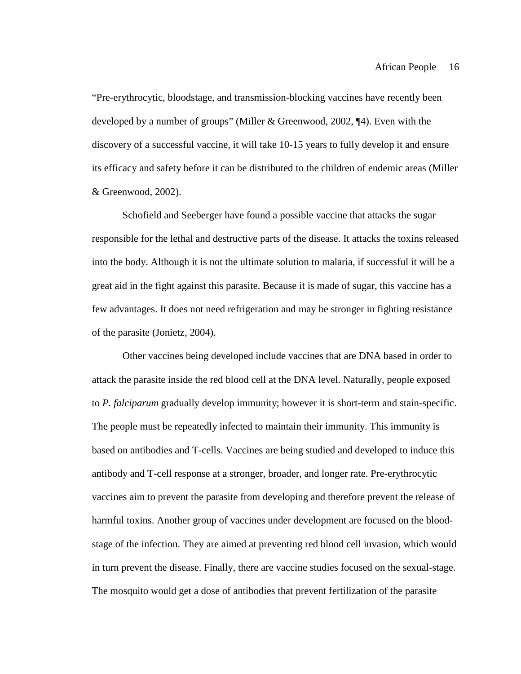"Pre-erythrocytic, bloodstage, and transmission-blocking vaccines have recently been developed by a number of groups" (Miller & Greenwood, 2002, ¶4). Even with the discovery of a successful vaccine, it will take 10-15 years to fully develop it and ensure its efficacy and safety before it can be distributed to the children of endemic areas (Miller & Greenwood, 2002).

Schofield and Seeberger have found a possible vaccine that attacks the sugar responsible for the lethal and destructive parts of the disease. It attacks the toxins released into the body. Although it is not the ultimate solution to malaria, if successful it will be a great aid in the fight against this parasite. Because it is made of sugar, this vaccine has a few advantages. It does not need refrigeration and may be stronger in fighting resistance of the parasite (Jonietz, 2004).

Other vaccines being developed include vaccines that are DNA based in order to attack the parasite inside the red blood cell at the DNA level. Naturally, people exposed to *P. falciparum* gradually develop immunity; however it is short-term and stain-specific. The people must be repeatedly infected to maintain their immunity. This immunity is based on antibodies and T-cells. Vaccines are being studied and developed to induce this antibody and T-cell response at a stronger, broader, and longer rate. Pre-erythrocytic vaccines aim to prevent the parasite from developing and therefore prevent the release of harmful toxins. Another group of vaccines under development are focused on the bloodstage of the infection. They are aimed at preventing red blood cell invasion, which would in turn prevent the disease. Finally, there are vaccine studies focused on the sexual-stage. The mosquito would get a dose of antibodies that prevent fertilization of the parasite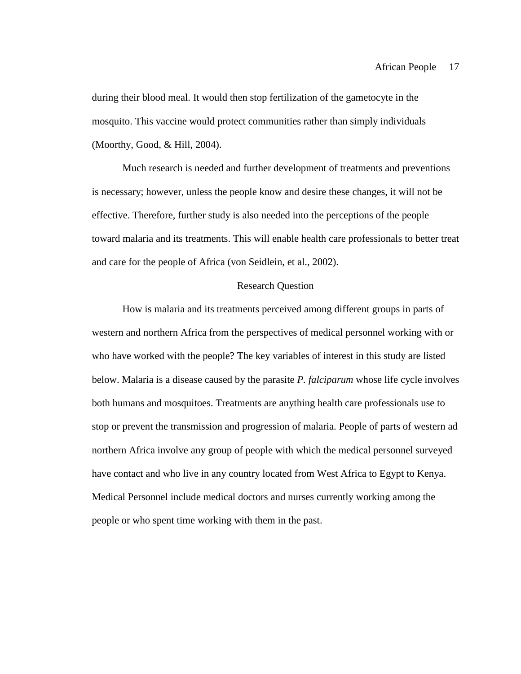during their blood meal. It would then stop fertilization of the gametocyte in the mosquito. This vaccine would protect communities rather than simply individuals (Moorthy, Good, & Hill, 2004).

Much research is needed and further development of treatments and preventions is necessary; however, unless the people know and desire these changes, it will not be effective. Therefore, further study is also needed into the perceptions of the people toward malaria and its treatments. This will enable health care professionals to better treat and care for the people of Africa (von Seidlein, et al., 2002).

# Research Question

How is malaria and its treatments perceived among different groups in parts of western and northern Africa from the perspectives of medical personnel working with or who have worked with the people? The key variables of interest in this study are listed below. Malaria is a disease caused by the parasite *P. falciparum* whose life cycle involves both humans and mosquitoes. Treatments are anything health care professionals use to stop or prevent the transmission and progression of malaria. People of parts of western ad northern Africa involve any group of people with which the medical personnel surveyed have contact and who live in any country located from West Africa to Egypt to Kenya. Medical Personnel include medical doctors and nurses currently working among the people or who spent time working with them in the past.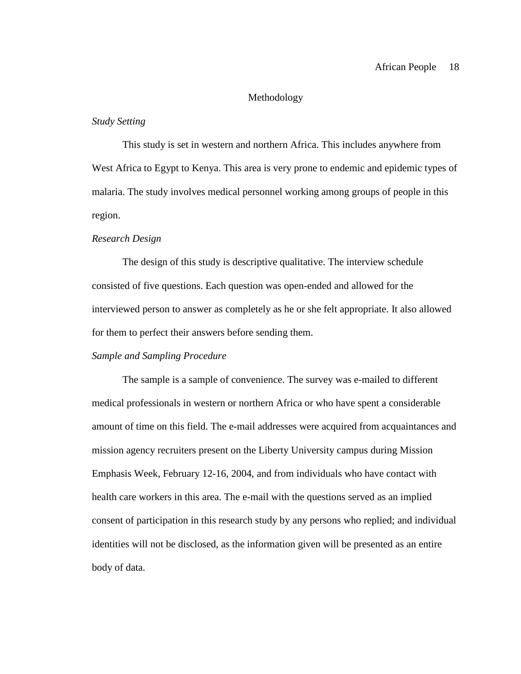# Methodology

# *Study Setting*

This study is set in western and northern Africa. This includes anywhere from West Africa to Egypt to Kenya. This area is very prone to endemic and epidemic types of malaria. The study involves medical personnel working among groups of people in this region.

# *Research Design*

The design of this study is descriptive qualitative. The interview schedule consisted of five questions. Each question was open-ended and allowed for the interviewed person to answer as completely as he or she felt appropriate. It also allowed for them to perfect their answers before sending them.

# *Sample and Sampling Procedure*

The sample is a sample of convenience. The survey was e-mailed to different medical professionals in western or northern Africa or who have spent a considerable amount of time on this field. The e-mail addresses were acquired from acquaintances and mission agency recruiters present on the Liberty University campus during Mission Emphasis Week, February 12-16, 2004, and from individuals who have contact with health care workers in this area. The e-mail with the questions served as an implied consent of participation in this research study by any persons who replied; and individual identities will not be disclosed, as the information given will be presented as an entire body of data.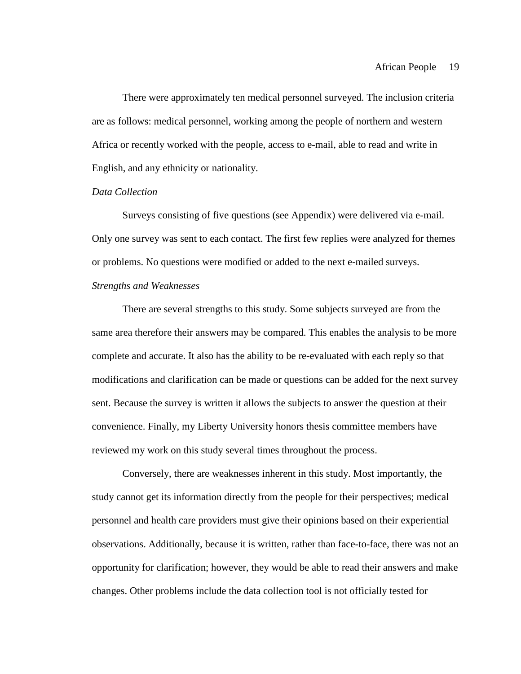There were approximately ten medical personnel surveyed. The inclusion criteria are as follows: medical personnel, working among the people of northern and western Africa or recently worked with the people, access to e-mail, able to read and write in English, and any ethnicity or nationality.

# *Data Collection*

Surveys consisting of five questions (see Appendix) were delivered via e-mail. Only one survey was sent to each contact. The first few replies were analyzed for themes or problems. No questions were modified or added to the next e-mailed surveys.

# *Strengths and Weaknesses*

There are several strengths to this study. Some subjects surveyed are from the same area therefore their answers may be compared. This enables the analysis to be more complete and accurate. It also has the ability to be re-evaluated with each reply so that modifications and clarification can be made or questions can be added for the next survey sent. Because the survey is written it allows the subjects to answer the question at their convenience. Finally, my Liberty University honors thesis committee members have reviewed my work on this study several times throughout the process.

Conversely, there are weaknesses inherent in this study. Most importantly, the study cannot get its information directly from the people for their perspectives; medical personnel and health care providers must give their opinions based on their experiential observations. Additionally, because it is written, rather than face-to-face, there was not an opportunity for clarification; however, they would be able to read their answers and make changes. Other problems include the data collection tool is not officially tested for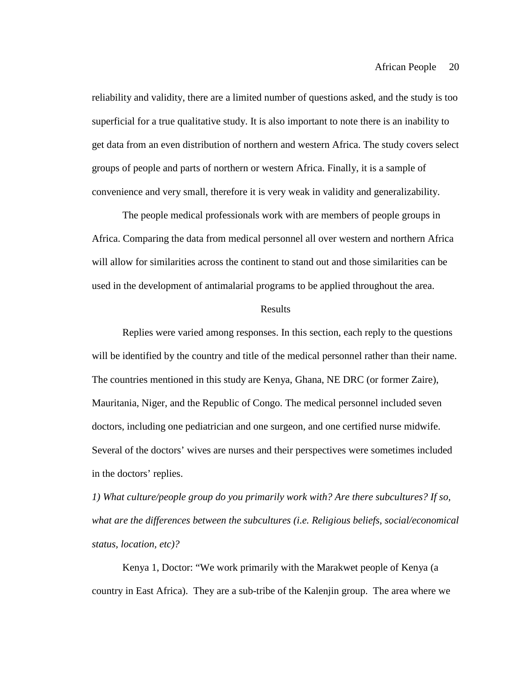reliability and validity, there are a limited number of questions asked, and the study is too superficial for a true qualitative study. It is also important to note there is an inability to get data from an even distribution of northern and western Africa. The study covers select groups of people and parts of northern or western Africa. Finally, it is a sample of convenience and very small, therefore it is very weak in validity and generalizability.

The people medical professionals work with are members of people groups in Africa. Comparing the data from medical personnel all over western and northern Africa will allow for similarities across the continent to stand out and those similarities can be used in the development of antimalarial programs to be applied throughout the area.

### Results

Replies were varied among responses. In this section, each reply to the questions will be identified by the country and title of the medical personnel rather than their name. The countries mentioned in this study are Kenya, Ghana, NE DRC (or former Zaire), Mauritania, Niger, and the Republic of Congo. The medical personnel included seven doctors, including one pediatrician and one surgeon, and one certified nurse midwife. Several of the doctors' wives are nurses and their perspectives were sometimes included in the doctors' replies.

*1) What culture/people group do you primarily work with? Are there subcultures? If so, what are the differences between the subcultures (i.e. Religious beliefs, social/economical status, location, etc)?*

Kenya 1, Doctor: "We work primarily with the Marakwet people of Kenya (a country in East Africa). They are a sub-tribe of the Kalenjin group. The area where we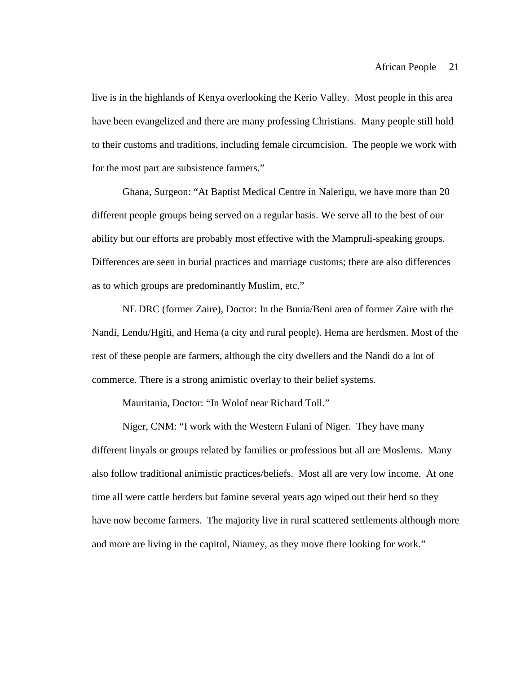live is in the highlands of Kenya overlooking the Kerio Valley. Most people in this area have been evangelized and there are many professing Christians. Many people still hold to their customs and traditions, including female circumcision. The people we work with for the most part are subsistence farmers."

Ghana, Surgeon: "At Baptist Medical Centre in Nalerigu, we have more than 20 different people groups being served on a regular basis. We serve all to the best of our ability but our efforts are probably most effective with the Mampruli-speaking groups. Differences are seen in burial practices and marriage customs; there are also differences as to which groups are predominantly Muslim, etc."

NE DRC (former Zaire), Doctor: In the Bunia/Beni area of former Zaire with the Nandi, Lendu/Hgiti, and Hema (a city and rural people). Hema are herdsmen. Most of the rest of these people are farmers, although the city dwellers and the Nandi do a lot of commerce. There is a strong animistic overlay to their belief systems.

Mauritania, Doctor: "In Wolof near Richard Toll."

Niger, CNM: "I work with the Western Fulani of Niger. They have many different linyals or groups related by families or professions but all are Moslems. Many also follow traditional animistic practices/beliefs. Most all are very low income. At one time all were cattle herders but famine several years ago wiped out their herd so they have now become farmers. The majority live in rural scattered settlements although more and more are living in the capitol, Niamey, as they move there looking for work."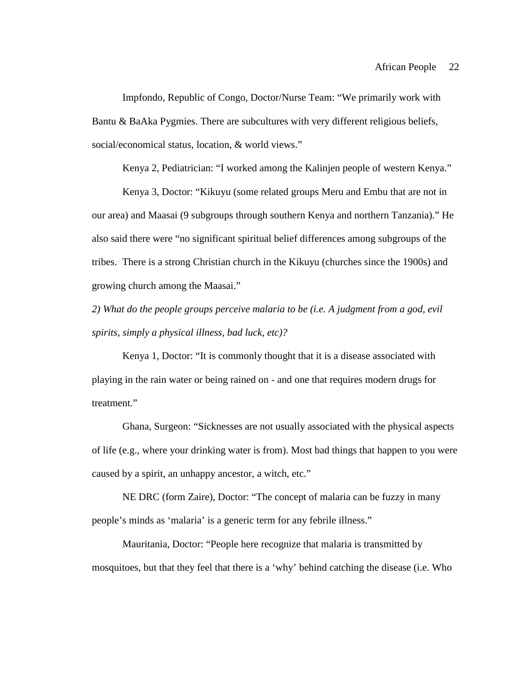Impfondo, Republic of Congo, Doctor/Nurse Team: "We primarily work with Bantu & BaAka Pygmies. There are subcultures with very different religious beliefs, social/economical status, location, & world views."

Kenya 2, Pediatrician: "I worked among the Kalinjen people of western Kenya."

Kenya 3, Doctor: "Kikuyu (some related groups Meru and Embu that are not in our area) and Maasai (9 subgroups through southern Kenya and northern Tanzania)." He also said there were "no significant spiritual belief differences among subgroups of the tribes. There is a strong Christian church in the Kikuyu (churches since the 1900s) and growing church among the Maasai."

*2) What do the people groups perceive malaria to be (i.e. A judgment from a god, evil spirits, simply a physical illness, bad luck, etc)?*

Kenya 1, Doctor: "It is commonly thought that it is a disease associated with playing in the rain water or being rained on - and one that requires modern drugs for treatment."

Ghana, Surgeon: "Sicknesses are not usually associated with the physical aspects of life (e.g., where your drinking water is from). Most bad things that happen to you were caused by a spirit, an unhappy ancestor, a witch, etc."

NE DRC (form Zaire), Doctor: "The concept of malaria can be fuzzy in many people's minds as 'malaria' is a generic term for any febrile illness."

Mauritania, Doctor: "People here recognize that malaria is transmitted by mosquitoes, but that they feel that there is a 'why' behind catching the disease (i.e. Who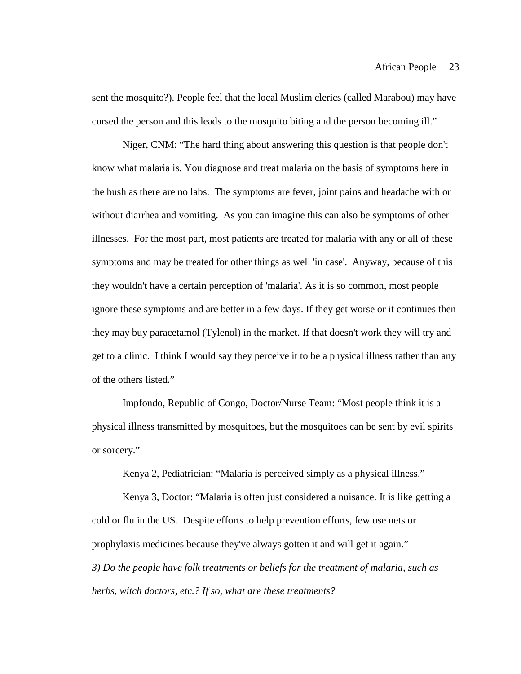sent the mosquito?). People feel that the local Muslim clerics (called Marabou) may have cursed the person and this leads to the mosquito biting and the person becoming ill."

Niger, CNM: "The hard thing about answering this question is that people don't know what malaria is. You diagnose and treat malaria on the basis of symptoms here in the bush as there are no labs. The symptoms are fever, joint pains and headache with or without diarrhea and vomiting. As you can imagine this can also be symptoms of other illnesses. For the most part, most patients are treated for malaria with any or all of these symptoms and may be treated for other things as well 'in case'. Anyway, because of this they wouldn't have a certain perception of 'malaria'. As it is so common, most people ignore these symptoms and are better in a few days. If they get worse or it continues then they may buy paracetamol (Tylenol) in the market. If that doesn't work they will try and get to a clinic. I think I would say they perceive it to be a physical illness rather than any of the others listed."

Impfondo, Republic of Congo, Doctor/Nurse Team: "Most people think it is a physical illness transmitted by mosquitoes, but the mosquitoes can be sent by evil spirits or sorcery."

Kenya 2, Pediatrician: "Malaria is perceived simply as a physical illness."

Kenya 3, Doctor: "Malaria is often just considered a nuisance. It is like getting a cold or flu in the US. Despite efforts to help prevention efforts, few use nets or prophylaxis medicines because they've always gotten it and will get it again." *3) Do the people have folk treatments or beliefs for the treatment of malaria, such as herbs, witch doctors, etc.? If so, what are these treatments?*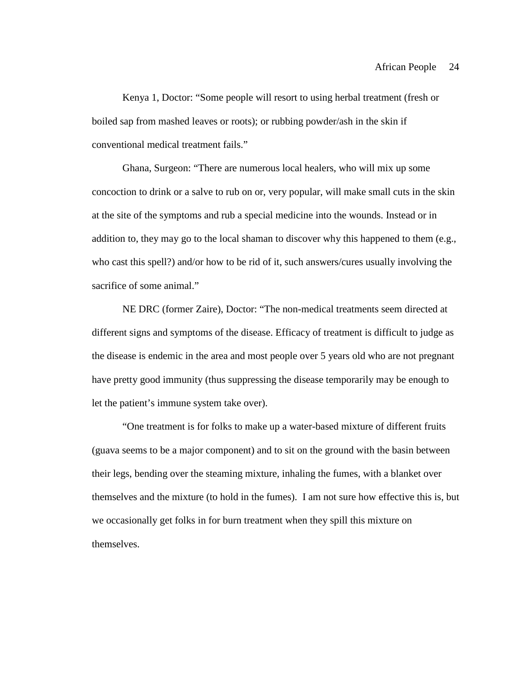Kenya 1, Doctor: "Some people will resort to using herbal treatment (fresh or boiled sap from mashed leaves or roots); or rubbing powder/ash in the skin if conventional medical treatment fails."

Ghana, Surgeon: "There are numerous local healers, who will mix up some concoction to drink or a salve to rub on or, very popular, will make small cuts in the skin at the site of the symptoms and rub a special medicine into the wounds. Instead or in addition to, they may go to the local shaman to discover why this happened to them (e.g., who cast this spell?) and/or how to be rid of it, such answers/cures usually involving the sacrifice of some animal."

NE DRC (former Zaire), Doctor: "The non-medical treatments seem directed at different signs and symptoms of the disease. Efficacy of treatment is difficult to judge as the disease is endemic in the area and most people over 5 years old who are not pregnant have pretty good immunity (thus suppressing the disease temporarily may be enough to let the patient's immune system take over).

"One treatment is for folks to make up a water-based mixture of different fruits (guava seems to be a major component) and to sit on the ground with the basin between their legs, bending over the steaming mixture, inhaling the fumes, with a blanket over themselves and the mixture (to hold in the fumes). I am not sure how effective this is, but we occasionally get folks in for burn treatment when they spill this mixture on themselves.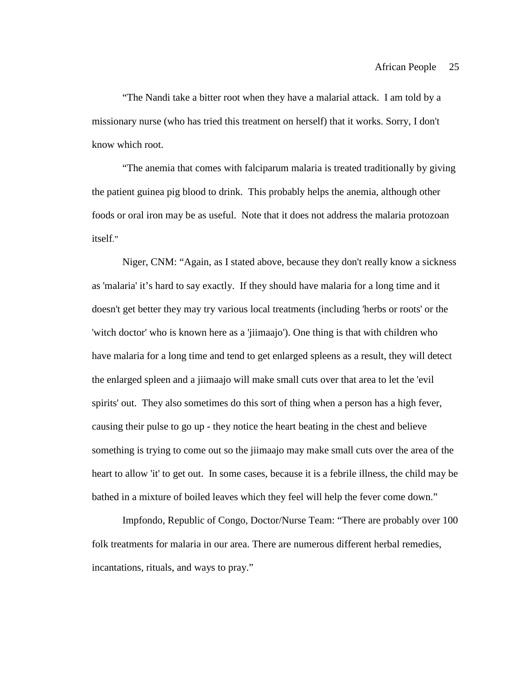"The Nandi take a bitter root when they have a malarial attack. I am told by a missionary nurse (who has tried this treatment on herself) that it works. Sorry, I don't know which root.

"The anemia that comes with falciparum malaria is treated traditionally by giving the patient guinea pig blood to drink. This probably helps the anemia, although other foods or oral iron may be as useful. Note that it does not address the malaria protozoan itself."

Niger, CNM: "Again, as I stated above, because they don't really know a sickness as 'malaria' it's hard to say exactly. If they should have malaria for a long time and it doesn't get better they may try various local treatments (including 'herbs or roots' or the 'witch doctor' who is known here as a 'jiimaajo'). One thing is that with children who have malaria for a long time and tend to get enlarged spleens as a result, they will detect the enlarged spleen and a jiimaajo will make small cuts over that area to let the 'evil spirits' out. They also sometimes do this sort of thing when a person has a high fever, causing their pulse to go up - they notice the heart beating in the chest and believe something is trying to come out so the jiimaajo may make small cuts over the area of the heart to allow 'it' to get out. In some cases, because it is a febrile illness, the child may be bathed in a mixture of boiled leaves which they feel will help the fever come down."

Impfondo, Republic of Congo, Doctor/Nurse Team: "There are probably over 100 folk treatments for malaria in our area. There are numerous different herbal remedies, incantations, rituals, and ways to pray."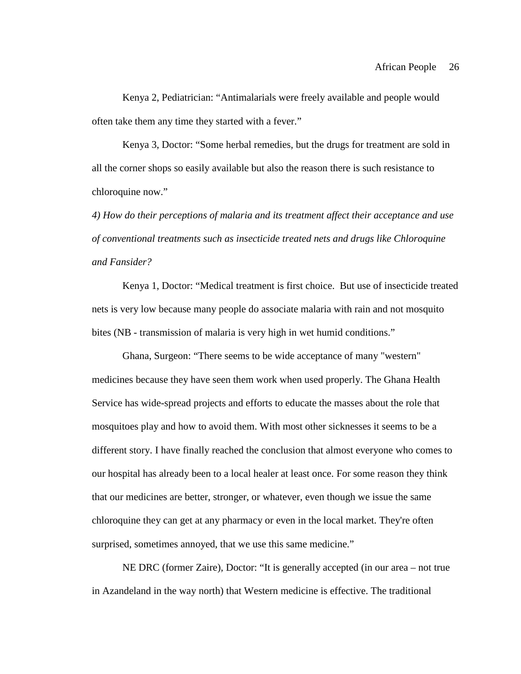Kenya 2, Pediatrician: "Antimalarials were freely available and people would often take them any time they started with a fever."

Kenya 3, Doctor: "Some herbal remedies, but the drugs for treatment are sold in all the corner shops so easily available but also the reason there is such resistance to chloroquine now."

*4) How do their perceptions of malaria and its treatment affect their acceptance and use of conventional treatments such as insecticide treated nets and drugs like Chloroquine and Fansider?*

Kenya 1, Doctor: "Medical treatment is first choice. But use of insecticide treated nets is very low because many people do associate malaria with rain and not mosquito bites (NB - transmission of malaria is very high in wet humid conditions."

Ghana, Surgeon: "There seems to be wide acceptance of many "western" medicines because they have seen them work when used properly. The Ghana Health Service has wide-spread projects and efforts to educate the masses about the role that mosquitoes play and how to avoid them. With most other sicknesses it seems to be a different story. I have finally reached the conclusion that almost everyone who comes to our hospital has already been to a local healer at least once. For some reason they think that our medicines are better, stronger, or whatever, even though we issue the same chloroquine they can get at any pharmacy or even in the local market. They're often surprised, sometimes annoyed, that we use this same medicine."

NE DRC (former Zaire), Doctor: "It is generally accepted (in our area – not true in Azandeland in the way north) that Western medicine is effective. The traditional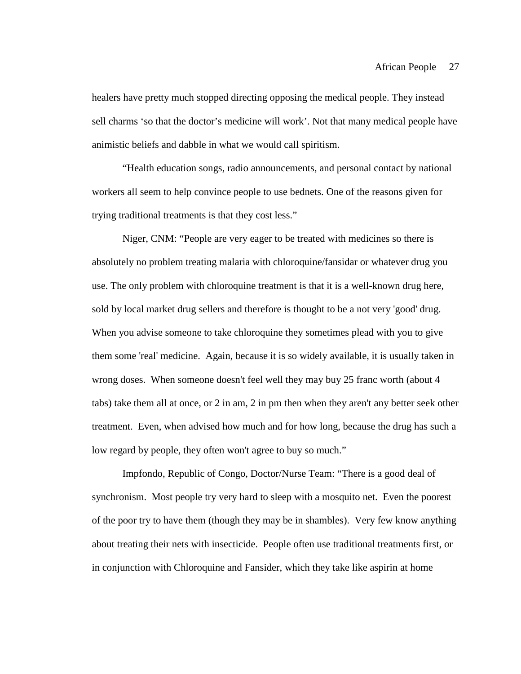healers have pretty much stopped directing opposing the medical people. They instead sell charms 'so that the doctor's medicine will work'. Not that many medical people have animistic beliefs and dabble in what we would call spiritism.

"Health education songs, radio announcements, and personal contact by national workers all seem to help convince people to use bednets. One of the reasons given for trying traditional treatments is that they cost less."

Niger, CNM: "People are very eager to be treated with medicines so there is absolutely no problem treating malaria with chloroquine/fansidar or whatever drug you use. The only problem with chloroquine treatment is that it is a well-known drug here, sold by local market drug sellers and therefore is thought to be a not very 'good' drug. When you advise someone to take chloroquine they sometimes plead with you to give them some 'real' medicine. Again, because it is so widely available, it is usually taken in wrong doses. When someone doesn't feel well they may buy 25 franc worth (about 4 tabs) take them all at once, or 2 in am, 2 in pm then when they aren't any better seek other treatment. Even, when advised how much and for how long, because the drug has such a low regard by people, they often won't agree to buy so much."

Impfondo, Republic of Congo, Doctor/Nurse Team: "There is a good deal of synchronism. Most people try very hard to sleep with a mosquito net. Even the poorest of the poor try to have them (though they may be in shambles). Very few know anything about treating their nets with insecticide. People often use traditional treatments first, or in conjunction with Chloroquine and Fansider, which they take like aspirin at home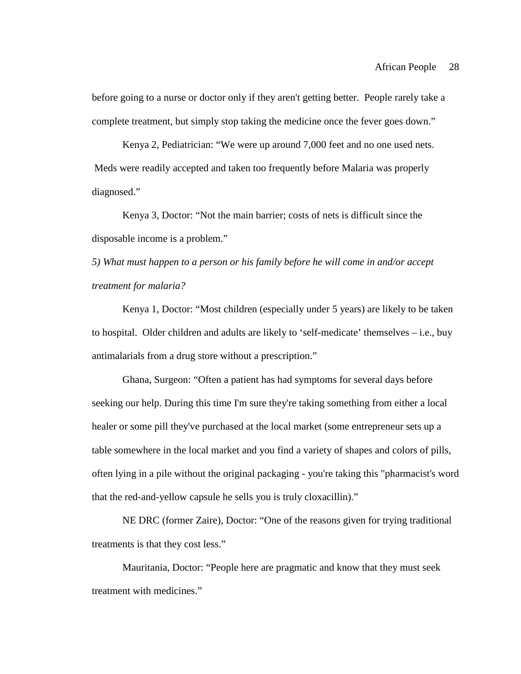before going to a nurse or doctor only if they aren't getting better. People rarely take a complete treatment, but simply stop taking the medicine once the fever goes down."

Kenya 2, Pediatrician: "We were up around 7,000 feet and no one used nets. Meds were readily accepted and taken too frequently before Malaria was properly diagnosed."

Kenya 3, Doctor: "Not the main barrier; costs of nets is difficult since the disposable income is a problem."

*5) What must happen to a person or his family before he will come in and/or accept treatment for malaria?*

Kenya 1, Doctor: "Most children (especially under 5 years) are likely to be taken to hospital. Older children and adults are likely to 'self-medicate' themselves – i.e., buy antimalarials from a drug store without a prescription."

Ghana, Surgeon: "Often a patient has had symptoms for several days before seeking our help. During this time I'm sure they're taking something from either a local healer or some pill they've purchased at the local market (some entrepreneur sets up a table somewhere in the local market and you find a variety of shapes and colors of pills, often lying in a pile without the original packaging - you're taking this "pharmacist's word that the red-and-yellow capsule he sells you is truly cloxacillin)."

NE DRC (former Zaire), Doctor: "One of the reasons given for trying traditional treatments is that they cost less."

Mauritania, Doctor: "People here are pragmatic and know that they must seek treatment with medicines."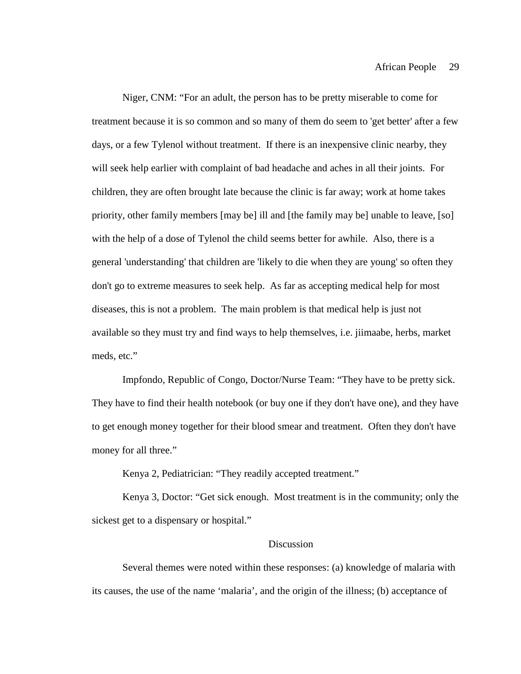Niger, CNM: "For an adult, the person has to be pretty miserable to come for treatment because it is so common and so many of them do seem to 'get better' after a few days, or a few Tylenol without treatment. If there is an inexpensive clinic nearby, they will seek help earlier with complaint of bad headache and aches in all their joints. For children, they are often brought late because the clinic is far away; work at home takes priority, other family members [may be] ill and [the family may be] unable to leave, [so] with the help of a dose of Tylenol the child seems better for awhile. Also, there is a general 'understanding' that children are 'likely to die when they are young' so often they don't go to extreme measures to seek help. As far as accepting medical help for most diseases, this is not a problem. The main problem is that medical help is just not available so they must try and find ways to help themselves, i.e. jiimaabe, herbs, market meds, etc."

Impfondo, Republic of Congo, Doctor/Nurse Team: "They have to be pretty sick. They have to find their health notebook (or buy one if they don't have one), and they have to get enough money together for their blood smear and treatment. Often they don't have money for all three."

Kenya 2, Pediatrician: "They readily accepted treatment."

Kenya 3, Doctor: "Get sick enough. Most treatment is in the community; only the sickest get to a dispensary or hospital."

### Discussion

Several themes were noted within these responses: (a) knowledge of malaria with its causes, the use of the name 'malaria', and the origin of the illness; (b) acceptance of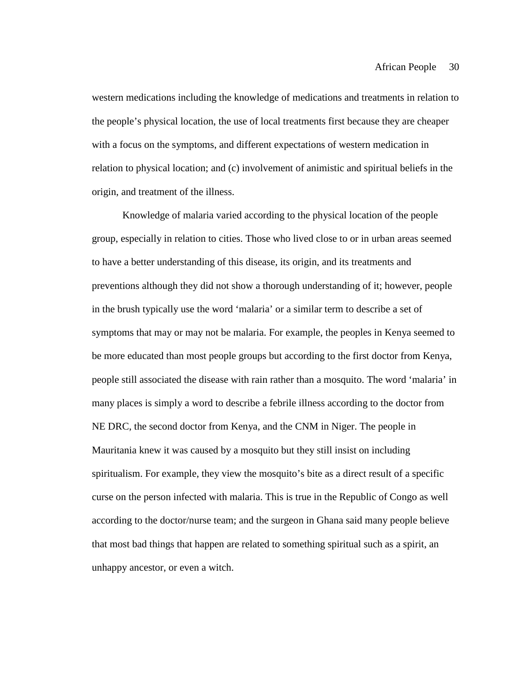western medications including the knowledge of medications and treatments in relation to the people's physical location, the use of local treatments first because they are cheaper with a focus on the symptoms, and different expectations of western medication in relation to physical location; and (c) involvement of animistic and spiritual beliefs in the origin, and treatment of the illness.

Knowledge of malaria varied according to the physical location of the people group, especially in relation to cities. Those who lived close to or in urban areas seemed to have a better understanding of this disease, its origin, and its treatments and preventions although they did not show a thorough understanding of it; however, people in the brush typically use the word 'malaria' or a similar term to describe a set of symptoms that may or may not be malaria. For example, the peoples in Kenya seemed to be more educated than most people groups but according to the first doctor from Kenya, people still associated the disease with rain rather than a mosquito. The word 'malaria' in many places is simply a word to describe a febrile illness according to the doctor from NE DRC, the second doctor from Kenya, and the CNM in Niger. The people in Mauritania knew it was caused by a mosquito but they still insist on including spiritualism. For example, they view the mosquito's bite as a direct result of a specific curse on the person infected with malaria. This is true in the Republic of Congo as well according to the doctor/nurse team; and the surgeon in Ghana said many people believe that most bad things that happen are related to something spiritual such as a spirit, an unhappy ancestor, or even a witch.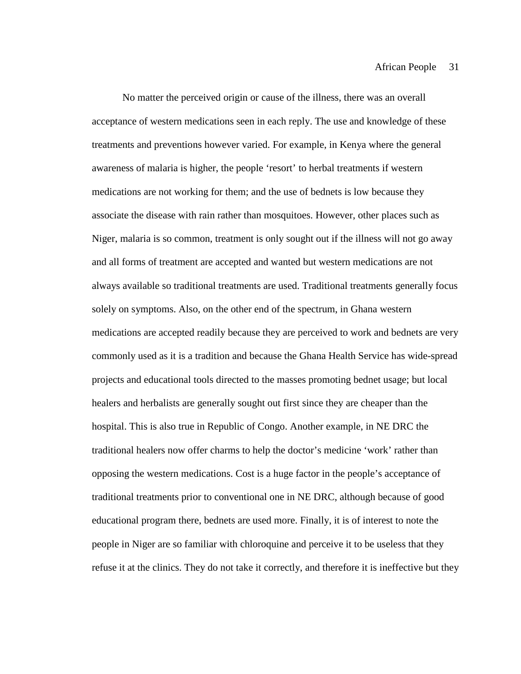No matter the perceived origin or cause of the illness, there was an overall acceptance of western medications seen in each reply. The use and knowledge of these treatments and preventions however varied. For example, in Kenya where the general awareness of malaria is higher, the people 'resort' to herbal treatments if western medications are not working for them; and the use of bednets is low because they associate the disease with rain rather than mosquitoes. However, other places such as Niger, malaria is so common, treatment is only sought out if the illness will not go away and all forms of treatment are accepted and wanted but western medications are not always available so traditional treatments are used. Traditional treatments generally focus solely on symptoms. Also, on the other end of the spectrum, in Ghana western medications are accepted readily because they are perceived to work and bednets are very commonly used as it is a tradition and because the Ghana Health Service has wide-spread projects and educational tools directed to the masses promoting bednet usage; but local healers and herbalists are generally sought out first since they are cheaper than the hospital. This is also true in Republic of Congo. Another example, in NE DRC the traditional healers now offer charms to help the doctor's medicine 'work' rather than opposing the western medications. Cost is a huge factor in the people's acceptance of traditional treatments prior to conventional one in NE DRC, although because of good educational program there, bednets are used more. Finally, it is of interest to note the people in Niger are so familiar with chloroquine and perceive it to be useless that they refuse it at the clinics. They do not take it correctly, and therefore it is ineffective but they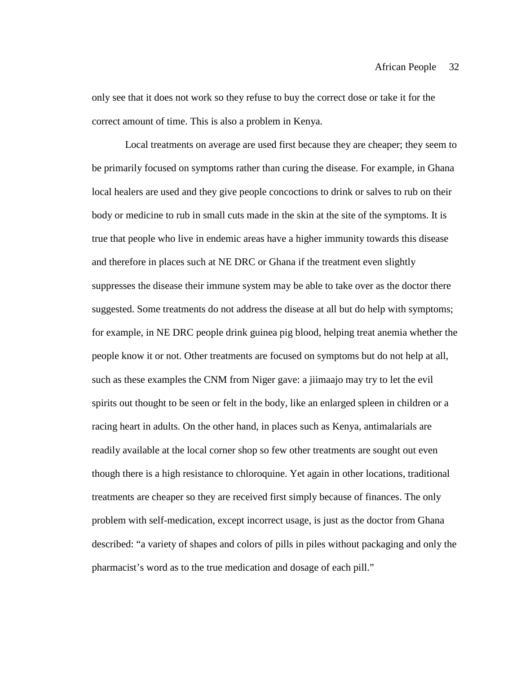only see that it does not work so they refuse to buy the correct dose or take it for the correct amount of time. This is also a problem in Kenya.

Local treatments on average are used first because they are cheaper; they seem to be primarily focused on symptoms rather than curing the disease. For example, in Ghana local healers are used and they give people concoctions to drink or salves to rub on their body or medicine to rub in small cuts made in the skin at the site of the symptoms. It is true that people who live in endemic areas have a higher immunity towards this disease and therefore in places such at NE DRC or Ghana if the treatment even slightly suppresses the disease their immune system may be able to take over as the doctor there suggested. Some treatments do not address the disease at all but do help with symptoms; for example, in NE DRC people drink guinea pig blood, helping treat anemia whether the people know it or not. Other treatments are focused on symptoms but do not help at all, such as these examples the CNM from Niger gave: a jiimaajo may try to let the evil spirits out thought to be seen or felt in the body, like an enlarged spleen in children or a racing heart in adults. On the other hand, in places such as Kenya, antimalarials are readily available at the local corner shop so few other treatments are sought out even though there is a high resistance to chloroquine. Yet again in other locations, traditional treatments are cheaper so they are received first simply because of finances. The only problem with self-medication, except incorrect usage, is just as the doctor from Ghana described: "a variety of shapes and colors of pills in piles without packaging and only the pharmacist's word as to the true medication and dosage of each pill."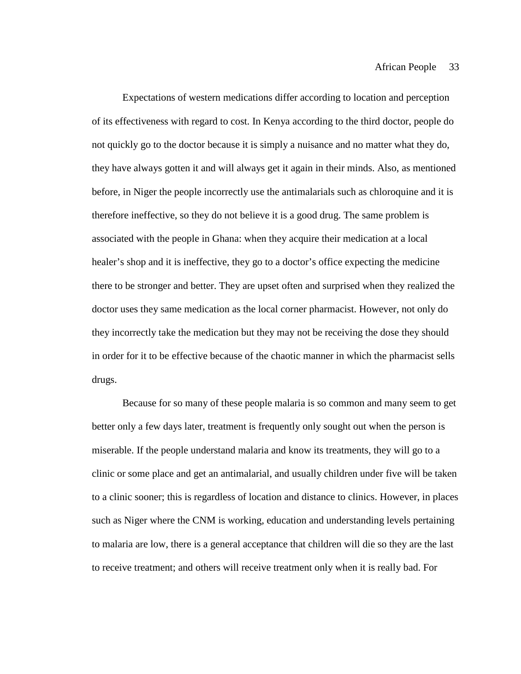Expectations of western medications differ according to location and perception of its effectiveness with regard to cost. In Kenya according to the third doctor, people do not quickly go to the doctor because it is simply a nuisance and no matter what they do, they have always gotten it and will always get it again in their minds. Also, as mentioned before, in Niger the people incorrectly use the antimalarials such as chloroquine and it is therefore ineffective, so they do not believe it is a good drug. The same problem is associated with the people in Ghana: when they acquire their medication at a local healer's shop and it is ineffective, they go to a doctor's office expecting the medicine there to be stronger and better. They are upset often and surprised when they realized the doctor uses they same medication as the local corner pharmacist. However, not only do they incorrectly take the medication but they may not be receiving the dose they should in order for it to be effective because of the chaotic manner in which the pharmacist sells drugs.

Because for so many of these people malaria is so common and many seem to get better only a few days later, treatment is frequently only sought out when the person is miserable. If the people understand malaria and know its treatments, they will go to a clinic or some place and get an antimalarial, and usually children under five will be taken to a clinic sooner; this is regardless of location and distance to clinics. However, in places such as Niger where the CNM is working, education and understanding levels pertaining to malaria are low, there is a general acceptance that children will die so they are the last to receive treatment; and others will receive treatment only when it is really bad. For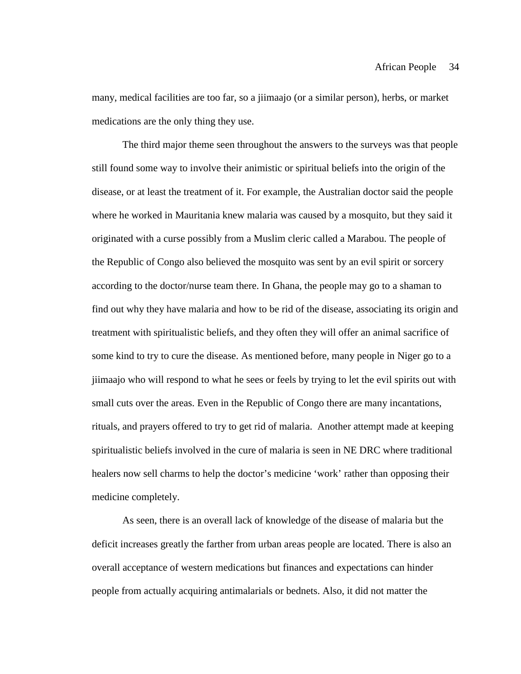many, medical facilities are too far, so a jiimaajo (or a similar person), herbs, or market medications are the only thing they use.

The third major theme seen throughout the answers to the surveys was that people still found some way to involve their animistic or spiritual beliefs into the origin of the disease, or at least the treatment of it. For example, the Australian doctor said the people where he worked in Mauritania knew malaria was caused by a mosquito, but they said it originated with a curse possibly from a Muslim cleric called a Marabou. The people of the Republic of Congo also believed the mosquito was sent by an evil spirit or sorcery according to the doctor/nurse team there. In Ghana, the people may go to a shaman to find out why they have malaria and how to be rid of the disease, associating its origin and treatment with spiritualistic beliefs, and they often they will offer an animal sacrifice of some kind to try to cure the disease. As mentioned before, many people in Niger go to a jiimaajo who will respond to what he sees or feels by trying to let the evil spirits out with small cuts over the areas. Even in the Republic of Congo there are many incantations, rituals, and prayers offered to try to get rid of malaria. Another attempt made at keeping spiritualistic beliefs involved in the cure of malaria is seen in NE DRC where traditional healers now sell charms to help the doctor's medicine 'work' rather than opposing their medicine completely.

As seen, there is an overall lack of knowledge of the disease of malaria but the deficit increases greatly the farther from urban areas people are located. There is also an overall acceptance of western medications but finances and expectations can hinder people from actually acquiring antimalarials or bednets. Also, it did not matter the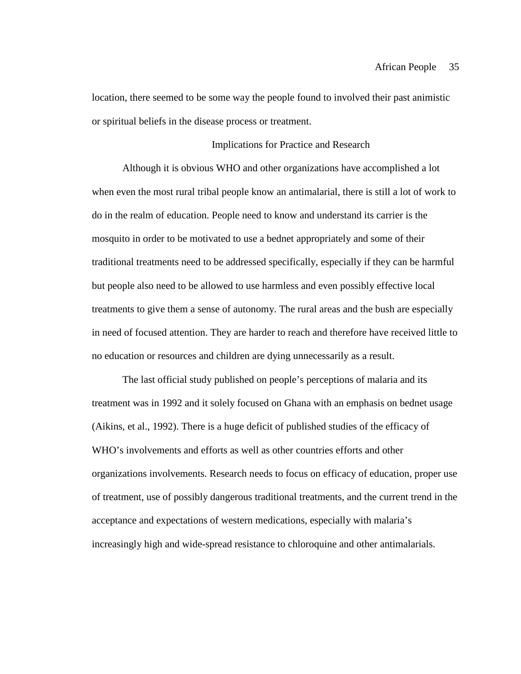location, there seemed to be some way the people found to involved their past animistic or spiritual beliefs in the disease process or treatment.

# Implications for Practice and Research

Although it is obvious WHO and other organizations have accomplished a lot when even the most rural tribal people know an antimalarial, there is still a lot of work to do in the realm of education. People need to know and understand its carrier is the mosquito in order to be motivated to use a bednet appropriately and some of their traditional treatments need to be addressed specifically, especially if they can be harmful but people also need to be allowed to use harmless and even possibly effective local treatments to give them a sense of autonomy. The rural areas and the bush are especially in need of focused attention. They are harder to reach and therefore have received little to no education or resources and children are dying unnecessarily as a result.

The last official study published on people's perceptions of malaria and its treatment was in 1992 and it solely focused on Ghana with an emphasis on bednet usage (Aikins, et al., 1992). There is a huge deficit of published studies of the efficacy of WHO's involvements and efforts as well as other countries efforts and other organizations involvements. Research needs to focus on efficacy of education, proper use of treatment, use of possibly dangerous traditional treatments, and the current trend in the acceptance and expectations of western medications, especially with malaria's increasingly high and wide-spread resistance to chloroquine and other antimalarials.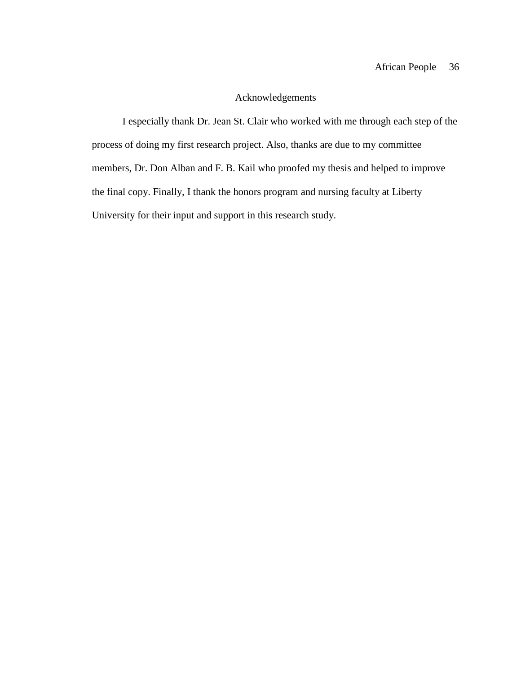# Acknowledgements

I especially thank Dr. Jean St. Clair who worked with me through each step of the process of doing my first research project. Also, thanks are due to my committee members, Dr. Don Alban and F. B. Kail who proofed my thesis and helped to improve the final copy. Finally, I thank the honors program and nursing faculty at Liberty University for their input and support in this research study.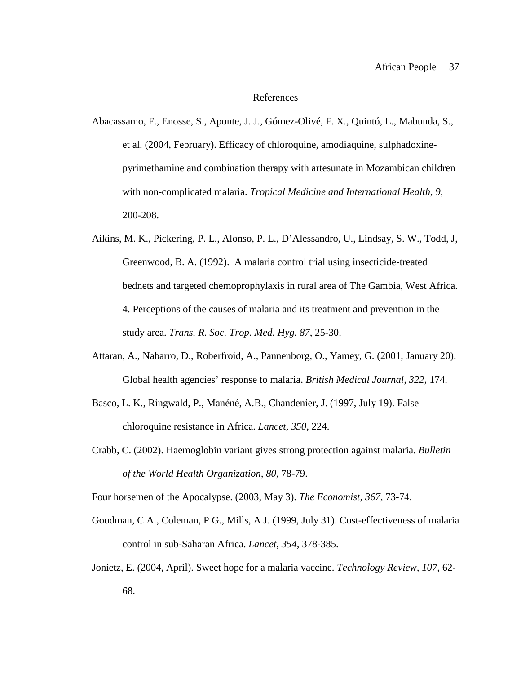#### References

- Abacassamo, F., Enosse, S., Aponte, J. J., Gómez-Olivé, F. X., Quintó, L., Mabunda, S., et al. (2004, February). Efficacy of chloroquine, amodiaquine, sulphadoxinepyrimethamine and combination therapy with artesunate in Mozambican children with non-complicated malaria. *Tropical Medicine and International Health, 9,*  200-208.
- Aikins, M. K., Pickering, P. L., Alonso, P. L., D'Alessandro, U., Lindsay, S. W., Todd, J, Greenwood, B. A. (1992). A malaria control trial using insecticide-treated bednets and targeted chemoprophylaxis in rural area of The Gambia, West Africa. 4. Perceptions of the causes of malaria and its treatment and prevention in the study area. *Trans. R. Soc. Trop. Med. Hyg. 87*, 25-30.
- Attaran, A., Nabarro, D., Roberfroid, A., Pannenborg, O., Yamey, G. (2001, January 20). Global health agencies' response to malaria. *British Medical Journal, 322,* 174.
- Basco, L. K., Ringwald, P., Manéné, A.B., Chandenier, J. (1997, July 19). False chloroquine resistance in Africa. *Lancet, 350,* 224.
- Crabb, C. (2002). Haemoglobin variant gives strong protection against malaria. *Bulletin of the World Health Organization, 80,* 78-79.

Four horsemen of the Apocalypse. (2003, May 3). *The Economist, 367*, 73-74.

- Goodman, C A., Coleman, P G., Mills, A J. (1999, July 31). Cost-effectiveness of malaria control in sub-Saharan Africa. *Lancet, 354,* 378-385.
- Jonietz, E. (2004, April). Sweet hope for a malaria vaccine. *Technology Review, 107,* 62- 68.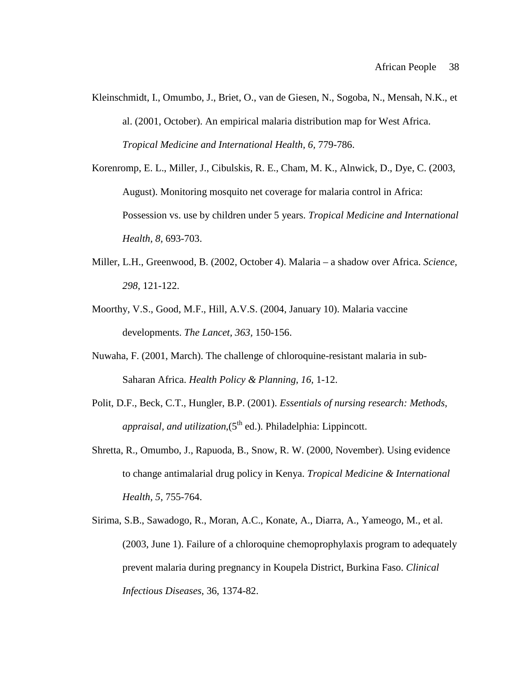- Kleinschmidt, I., Omumbo, J., Briet, O., van de Giesen, N., Sogoba, N., Mensah, N.K., et al. (2001, October). An empirical malaria distribution map for West Africa. *Tropical Medicine and International Health, 6,* 779-786.
- Korenromp, E. L., Miller, J., Cibulskis, R. E., Cham, M. K., Alnwick, D., Dye, C. (2003, August). Monitoring mosquito net coverage for malaria control in Africa: Possession vs. use by children under 5 years. *Tropical Medicine and International Health, 8,* 693-703.
- Miller, L.H., Greenwood, B. (2002, October 4). Malaria a shadow over Africa. *Science, 298*, 121-122.
- Moorthy, V.S., Good, M.F., Hill, A.V.S. (2004, January 10). Malaria vaccine developments. *The Lancet, 363,* 150-156.
- Nuwaha, F. (2001, March). The challenge of chloroquine-resistant malaria in sub-Saharan Africa. *Health Policy & Planning, 16,* 1-12.
- Polit, D.F., Beck, C.T., Hungler, B.P. (2001). *Essentials of nursing research: Methods, appraisal, and utilization*, $(5<sup>th</sup>$  ed.). Philadelphia: Lippincott.
- Shretta, R., Omumbo, J., Rapuoda, B., Snow, R. W. (2000, November). Using evidence to change antimalarial drug policy in Kenya. *Tropical Medicine & International Health, 5,* 755-764.
- Sirima, S.B., Sawadogo, R., Moran, A.C., Konate, A., Diarra, A., Yameogo, M., et al. (2003, June 1). Failure of a chloroquine chemoprophylaxis program to adequately prevent malaria during pregnancy in Koupela District, Burkina Faso. *Clinical Infectious Diseases*, 36, 1374-82.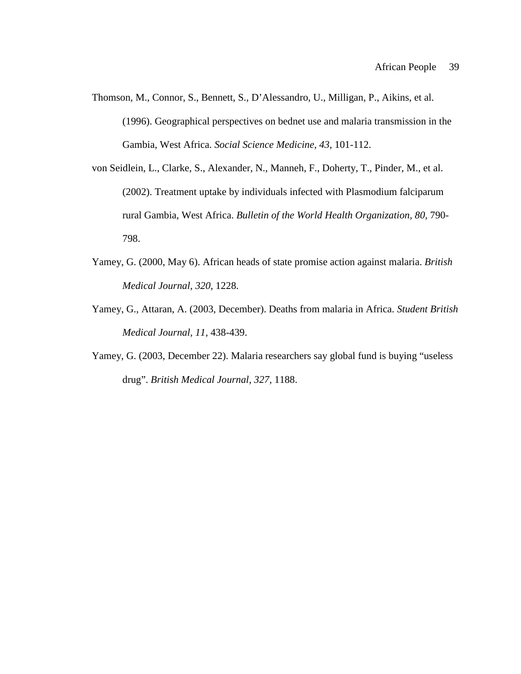- Thomson, M., Connor, S., Bennett, S., D'Alessandro, U., Milligan, P., Aikins, et al. (1996). Geographical perspectives on bednet use and malaria transmission in the Gambia, West Africa. *Social Science Medicine, 43,* 101-112.
- von Seidlein, L., Clarke, S., Alexander, N., Manneh, F., Doherty, T., Pinder, M., et al. (2002). Treatment uptake by individuals infected with Plasmodium falciparum rural Gambia, West Africa. *Bulletin of the World Health Organization, 80,* 790- 798.
- Yamey, G. (2000, May 6). African heads of state promise action against malaria. *British Medical Journal, 320,* 1228.
- Yamey, G., Attaran, A. (2003, December). Deaths from malaria in Africa. *Student British Medical Journal, 11,* 438-439.
- Yamey, G. (2003, December 22). Malaria researchers say global fund is buying "useless drug". *British Medical Journal, 327,* 1188.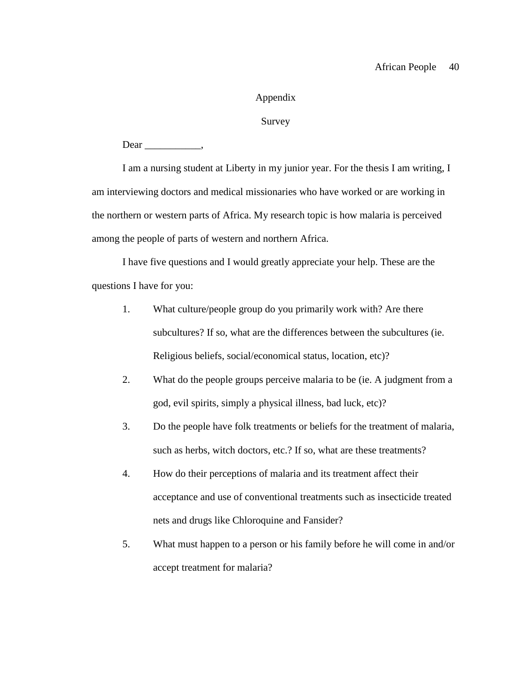# Appendix

# Survey

 $Dear$  \_\_\_\_\_\_\_\_\_\_\_\_,

I am a nursing student at Liberty in my junior year. For the thesis I am writing, I am interviewing doctors and medical missionaries who have worked or are working in the northern or western parts of Africa. My research topic is how malaria is perceived among the people of parts of western and northern Africa.

I have five questions and I would greatly appreciate your help. These are the questions I have for you:

- 1. What culture/people group do you primarily work with? Are there subcultures? If so, what are the differences between the subcultures (ie. Religious beliefs, social/economical status, location, etc)?
- 2. What do the people groups perceive malaria to be (ie. A judgment from a god, evil spirits, simply a physical illness, bad luck, etc)?
- 3. Do the people have folk treatments or beliefs for the treatment of malaria, such as herbs, witch doctors, etc.? If so, what are these treatments?
- 4. How do their perceptions of malaria and its treatment affect their acceptance and use of conventional treatments such as insecticide treated nets and drugs like Chloroquine and Fansider?
- 5. What must happen to a person or his family before he will come in and/or accept treatment for malaria?